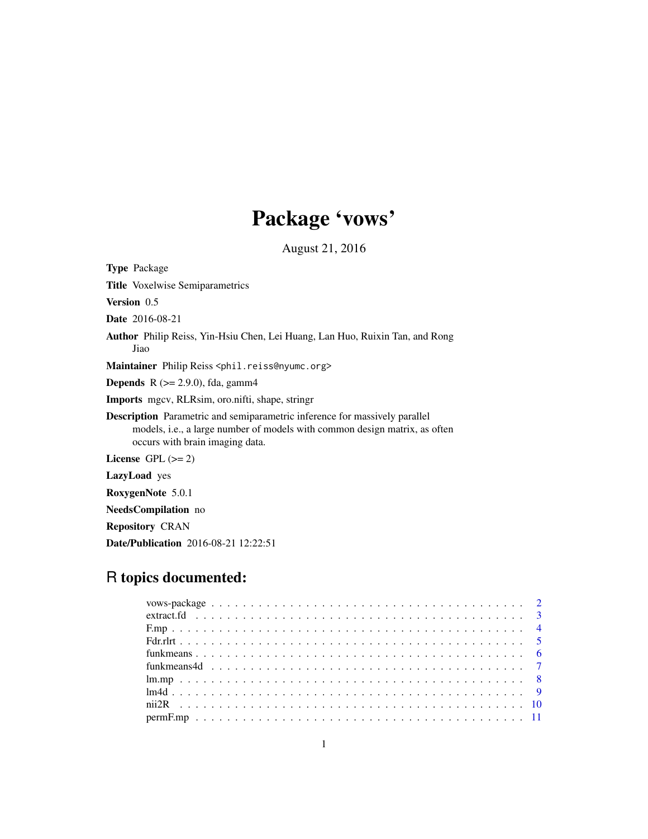# Package 'vows'

August 21, 2016

<span id="page-0-0"></span>Type Package Title Voxelwise Semiparametrics Version 0.5 Date 2016-08-21 Author Philip Reiss, Yin-Hsiu Chen, Lei Huang, Lan Huo, Ruixin Tan, and Rong Jiao Maintainer Philip Reiss <phil.reiss@nyumc.org> **Depends** R  $(>= 2.9.0)$ , fda, gamm4 Imports mgcv, RLRsim, oro.nifti, shape, stringr Description Parametric and semiparametric inference for massively parallel models, i.e., a large number of models with common design matrix, as often occurs with brain imaging data. License GPL  $(>= 2)$ LazyLoad yes RoxygenNote 5.0.1 NeedsCompilation no Repository CRAN

# Date/Publication 2016-08-21 12:22:51

## R topics documented: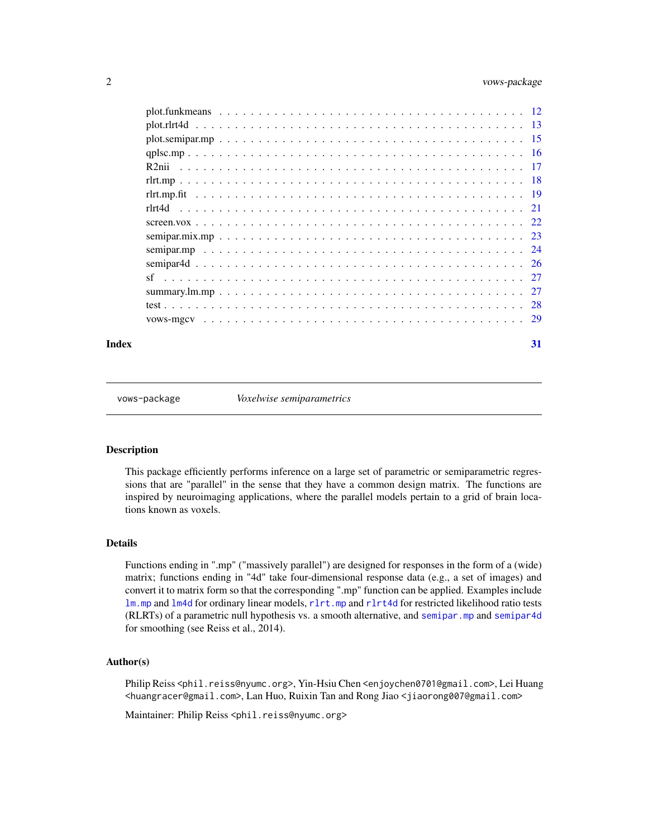## <span id="page-1-0"></span>2 vows-package

|  | 27 |
|--|----|
|  |    |
|  |    |
|  |    |

#### **Index** [31](#page-30-0)

vows-package *Voxelwise semiparametrics*

#### Description

This package efficiently performs inference on a large set of parametric or semiparametric regressions that are "parallel" in the sense that they have a common design matrix. The functions are inspired by neuroimaging applications, where the parallel models pertain to a grid of brain locations known as voxels.

## Details

Functions ending in ".mp" ("massively parallel") are designed for responses in the form of a (wide) matrix; functions ending in "4d" take four-dimensional response data (e.g., a set of images) and convert it to matrix form so that the corresponding ".mp" function can be applied. Examples include [lm.mp](#page-7-1) and [lm4d](#page-8-1) for ordinary linear models, [rlrt.mp](#page-17-1) and [rlrt4d](#page-20-1) for restricted likelihood ratio tests (RLRTs) of a parametric null hypothesis vs. a smooth alternative, and [semipar.mp](#page-23-1) and [semipar4d](#page-25-1) for smoothing (see Reiss et al., 2014).

#### Author(s)

Philip Reiss <phil.reiss@nyumc.org>, Yin-Hsiu Chen <enjoychen0701@gmail.com>, Lei Huang <huangracer@gmail.com>, Lan Huo, Ruixin Tan and Rong Jiao <jiaorong007@gmail.com>

Maintainer: Philip Reiss <phil.reiss@nyumc.org>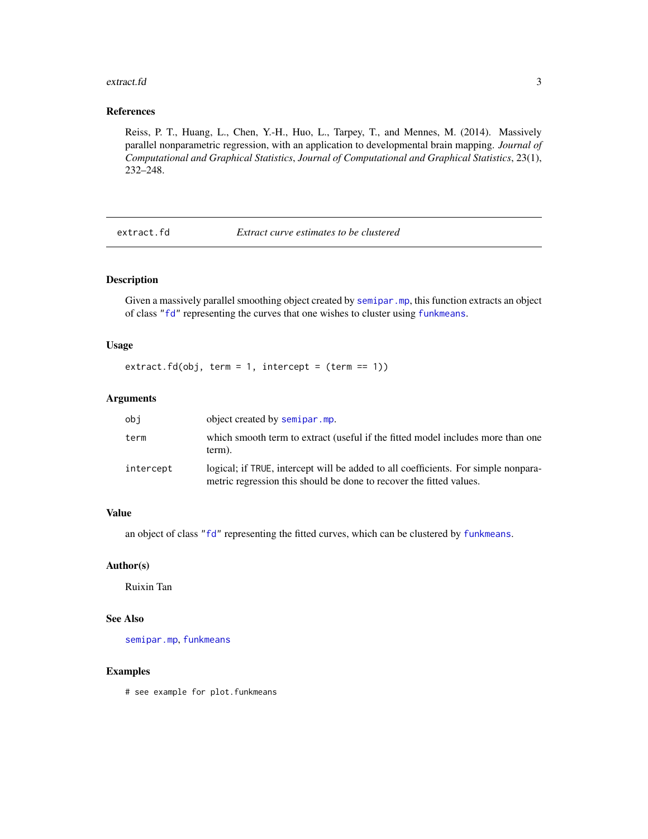#### <span id="page-2-0"></span>extract.fd 3

## References

Reiss, P. T., Huang, L., Chen, Y.-H., Huo, L., Tarpey, T., and Mennes, M. (2014). Massively parallel nonparametric regression, with an application to developmental brain mapping. *Journal of Computational and Graphical Statistics*, *Journal of Computational and Graphical Statistics*, 23(1), 232–248.

extract.fd *Extract curve estimates to be clustered*

## Description

Given a massively parallel smoothing object created by [semipar.mp](#page-23-1), this function extracts an object of class ["fd"](#page-0-0) representing the curves that one wishes to cluster using [funkmeans](#page-5-1).

## Usage

 $extract.fd(obj, term = 1, intercept = (term == 1))$ 

#### Arguments

| obi       | object created by semipar.mp.                                                                                                                             |
|-----------|-----------------------------------------------------------------------------------------------------------------------------------------------------------|
| term      | which smooth term to extract (useful if the fitted model includes more than one<br>term).                                                                 |
| intercept | logical; if TRUE, intercept will be added to all coefficients. For simple nonpara-<br>metric regression this should be done to recover the fitted values. |

## Value

an object of class ["fd"](#page-0-0) representing the fitted curves, which can be clustered by [funkmeans](#page-5-1).

#### Author(s)

Ruixin Tan

#### See Also

[semipar.mp](#page-23-1), [funkmeans](#page-5-1)

#### Examples

# see example for plot.funkmeans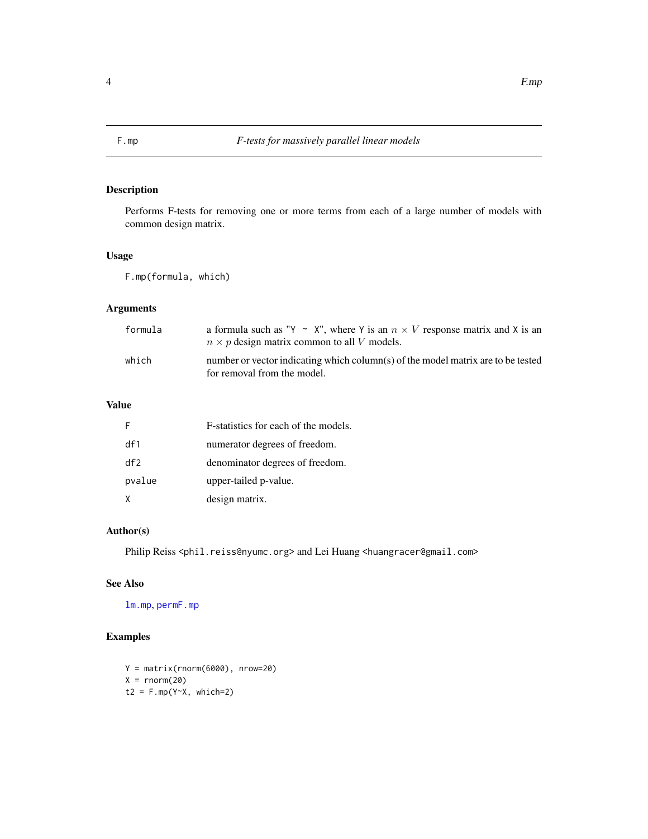<span id="page-3-1"></span><span id="page-3-0"></span>

Performs F-tests for removing one or more terms from each of a large number of models with common design matrix.

## Usage

F.mp(formula, which)

## Arguments

| formula | a formula such as "Y ~ X", where Y is an $n \times V$ response matrix and X is an<br>$n \times p$ design matrix common to all V models. |
|---------|-----------------------------------------------------------------------------------------------------------------------------------------|
| which   | number or vector indicating which column(s) of the model matrix are to be tested<br>for removal from the model.                         |

## Value

|        | F-statistics for each of the models. |
|--------|--------------------------------------|
| df1    | numerator degrees of freedom.        |
| df     | denominator degrees of freedom.      |
| pvalue | upper-tailed p-value.                |
| X      | design matrix.                       |

## Author(s)

Philip Reiss <phil.reiss@nyumc.org> and Lei Huang <huangracer@gmail.com>

## See Also

[lm.mp](#page-7-1), [permF.mp](#page-10-1)

## Examples

```
Y = matrix(rnorm(6000), nrow=20)X = rnorm(20)t2 = F.mp(Y<sup>2</sup>X, which=2)
```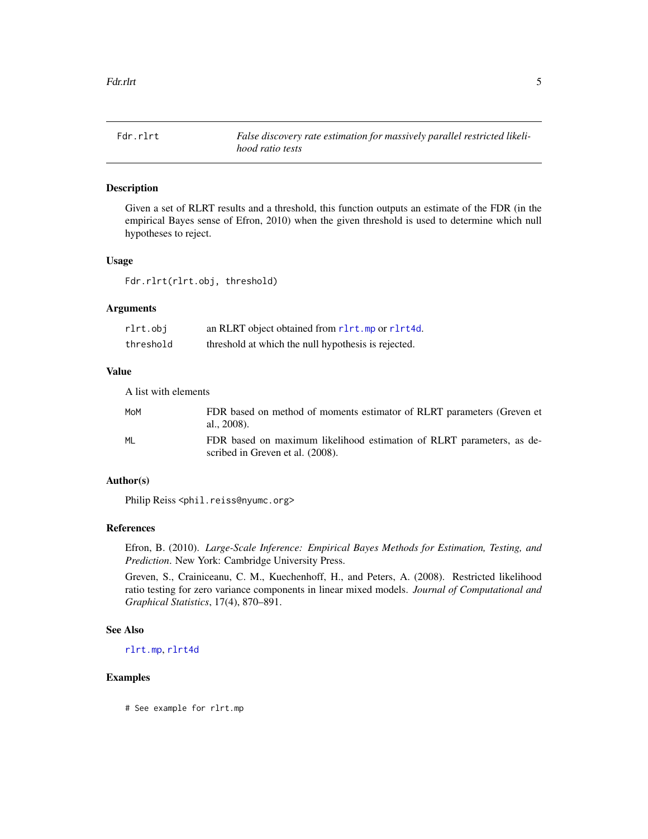<span id="page-4-1"></span><span id="page-4-0"></span>

Given a set of RLRT results and a threshold, this function outputs an estimate of the FDR (in the empirical Bayes sense of Efron, 2010) when the given threshold is used to determine which null hypotheses to reject.

## Usage

Fdr.rlrt(rlrt.obj, threshold)

## Arguments

| rlrt.obj  | an RLRT object obtained from r1rt.mp or r1rt4d.     |
|-----------|-----------------------------------------------------|
| threshold | threshold at which the null hypothesis is rejected. |

#### Value

A list with elements

| MoM | FDR based on method of moments estimator of RLRT parameters (Greven et<br>al., 2008).                     |
|-----|-----------------------------------------------------------------------------------------------------------|
| МI  | FDR based on maximum likelihood estimation of RLRT parameters, as de-<br>scribed in Greven et al. (2008). |

## Author(s)

Philip Reiss <phil.reiss@nyumc.org>

#### References

Efron, B. (2010). *Large-Scale Inference: Empirical Bayes Methods for Estimation, Testing, and Prediction*. New York: Cambridge University Press.

Greven, S., Crainiceanu, C. M., Kuechenhoff, H., and Peters, A. (2008). Restricted likelihood ratio testing for zero variance components in linear mixed models. *Journal of Computational and Graphical Statistics*, 17(4), 870–891.

## See Also

[rlrt.mp](#page-17-1), [rlrt4d](#page-20-1)

## Examples

# See example for rlrt.mp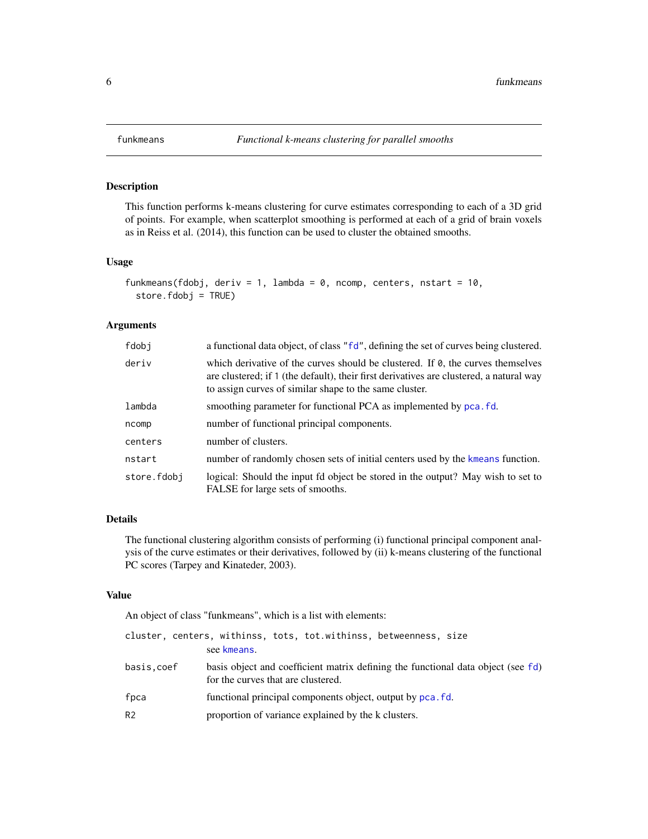This function performs k-means clustering for curve estimates corresponding to each of a 3D grid of points. For example, when scatterplot smoothing is performed at each of a grid of brain voxels as in Reiss et al. (2014), this function can be used to cluster the obtained smooths.

## Usage

```
funkmeans(fdobj, deriv = 1, lambda = 0, ncomp, centers, nstart = 10,
  store.fdobj = TRUE)
```
## Arguments

| fdobj       | a functional data object, of class "fd", defining the set of curves being clustered.                                                                                                                                                         |
|-------------|----------------------------------------------------------------------------------------------------------------------------------------------------------------------------------------------------------------------------------------------|
| deriv       | which derivative of the curves should be clustered. If $\theta$ , the curves themselves<br>are clustered; if 1 (the default), their first derivatives are clustered, a natural way<br>to assign curves of similar shape to the same cluster. |
| lambda      | smoothing parameter for functional PCA as implemented by pca. fd.                                                                                                                                                                            |
| ncomp       | number of functional principal components.                                                                                                                                                                                                   |
| centers     | number of clusters.                                                                                                                                                                                                                          |
| nstart      | number of randomly chosen sets of initial centers used by the kmeans function.                                                                                                                                                               |
| store.fdobj | logical: Should the input fd object be stored in the output? May wish to set to<br>FALSE for large sets of smooths.                                                                                                                          |

## Details

The functional clustering algorithm consists of performing (i) functional principal component analysis of the curve estimates or their derivatives, followed by (ii) k-means clustering of the functional PC scores (Tarpey and Kinateder, 2003).

## Value

An object of class "funkmeans", which is a list with elements:

|            | cluster, centers, withinss, tots, tot.withinss, betweenness, size                                                      |
|------------|------------------------------------------------------------------------------------------------------------------------|
|            | see kmeans.                                                                                                            |
| basis.coef | basis object and coefficient matrix defining the functional data object (see fd)<br>for the curves that are clustered. |
| fpca       | functional principal components object, output by pca. fd.                                                             |
| R2         | proportion of variance explained by the k clusters.                                                                    |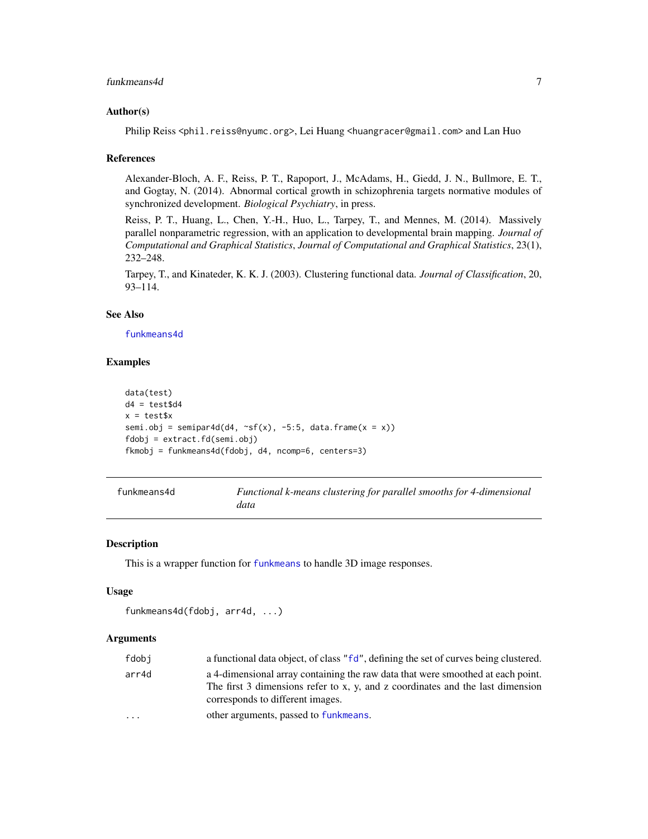#### <span id="page-6-0"></span>funkmeans4d 7

#### Author(s)

Philip Reiss <phil.reiss@nyumc.org>, Lei Huang <huangracer@gmail.com> and Lan Huo

#### References

Alexander-Bloch, A. F., Reiss, P. T., Rapoport, J., McAdams, H., Giedd, J. N., Bullmore, E. T., and Gogtay, N. (2014). Abnormal cortical growth in schizophrenia targets normative modules of synchronized development. *Biological Psychiatry*, in press.

Reiss, P. T., Huang, L., Chen, Y.-H., Huo, L., Tarpey, T., and Mennes, M. (2014). Massively parallel nonparametric regression, with an application to developmental brain mapping. *Journal of Computational and Graphical Statistics*, *Journal of Computational and Graphical Statistics*, 23(1), 232–248.

Tarpey, T., and Kinateder, K. K. J. (2003). Clustering functional data. *Journal of Classification*, 20, 93–114.

## See Also

[funkmeans4d](#page-6-1)

#### Examples

```
data(test)
d4 = \text{test}\x = test$x
semi.obj = semipar4d(d4, \simsf(x), -5:5, data.frame(x = x))
fdobj = extract.fd(semi.obj)
fkmobj = funkmeans4d(fdobj, d4, ncomp=6, centers=3)
```

| funkmeans4d |
|-------------|
|-------------|

<span id="page-6-1"></span>funkmeans4d *Functional k-means clustering for parallel smooths for 4-dimensional data*

#### Description

This is a wrapper function for [funkmeans](#page-5-1) to handle 3D image responses.

#### Usage

```
funkmeans4d(fdobj, arr4d, ...)
```
#### Arguments

| fdobi   | a functional data object, of class "fd", defining the set of curves being clustered.                                                                                                                  |
|---------|-------------------------------------------------------------------------------------------------------------------------------------------------------------------------------------------------------|
| arr4d   | a 4-dimensional array containing the raw data that were smoothed at each point.<br>The first 3 dimensions refer to x, y, and z coordinates and the last dimension<br>corresponds to different images. |
| $\cdot$ | other arguments, passed to funkmeans.                                                                                                                                                                 |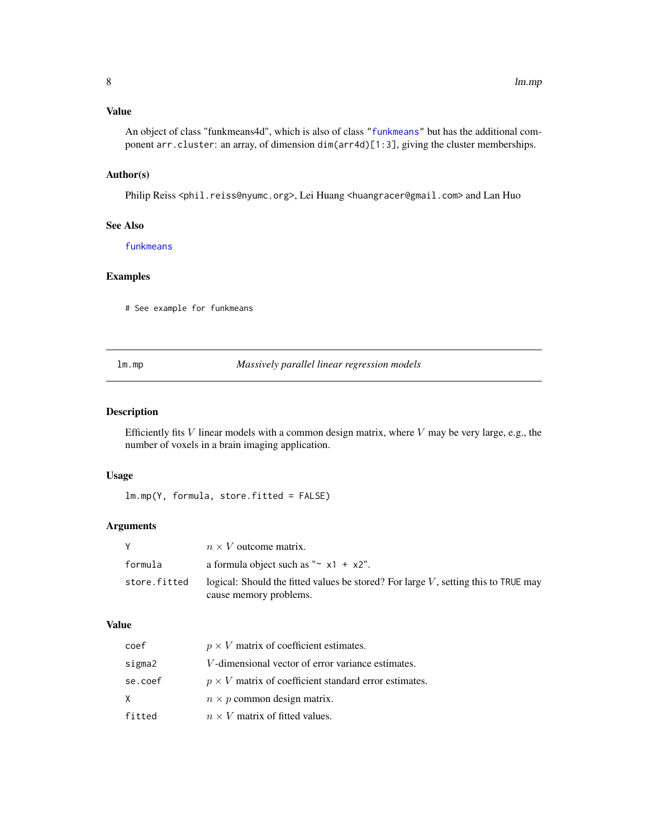## <span id="page-7-0"></span>Value

An object of class "funkmeans4d", which is also of class ["funkmeans"](#page-5-1) but has the additional component arr.cluster: an array, of dimension dim(arr4d)[1:3], giving the cluster memberships.

## Author(s)

Philip Reiss <phil.reiss@nyumc.org>, Lei Huang <huangracer@gmail.com> and Lan Huo

#### See Also

[funkmeans](#page-5-1)

#### Examples

# See example for funkmeans

<span id="page-7-1"></span>lm.mp *Massively parallel linear regression models*

## Description

Efficiently fits  $V$  linear models with a common design matrix, where  $V$  may be very large, e.g., the number of voxels in a brain imaging application.

#### Usage

lm.mp(Y, formula, store.fitted = FALSE)

#### Arguments

| <b>Y</b>     | $n \times V$ outcome matrix.                                                                                    |
|--------------|-----------------------------------------------------------------------------------------------------------------|
| formula      | a formula object such as " $\sim x1 + x2$ ".                                                                    |
| store.fitted | logical: Should the fitted values be stored? For large $V$ , setting this to TRUE may<br>cause memory problems. |

## Value

| coef    | $p \times V$ matrix of coefficient estimates.                |
|---------|--------------------------------------------------------------|
| sigma2  | V-dimensional vector of error variance estimates.            |
| se.coef | $p \times V$ matrix of coefficient standard error estimates. |
| X.      | $n \times p$ common design matrix.                           |
| fitted  | $n \times V$ matrix of fitted values.                        |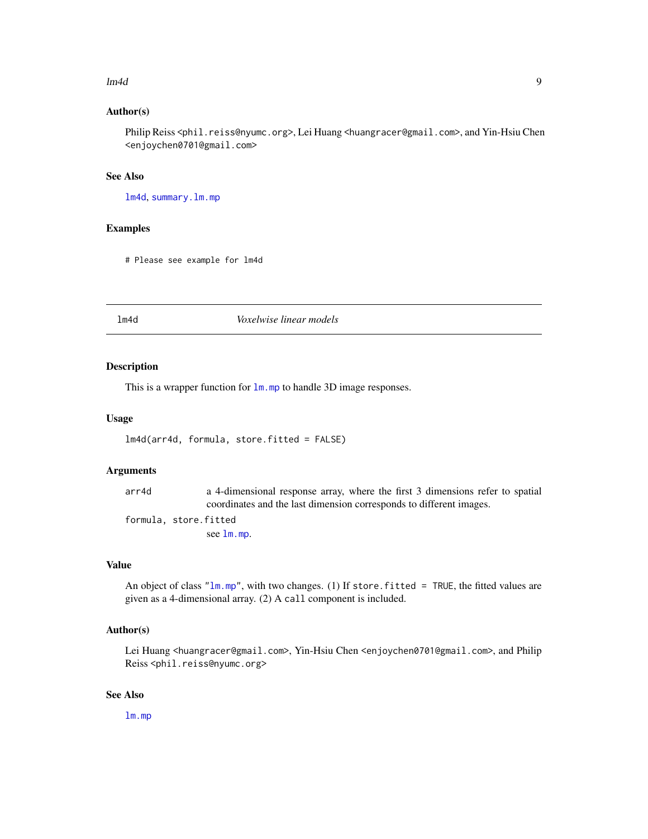#### <span id="page-8-0"></span>lm4d 9

## Author(s)

Philip Reiss <phil.reiss@nyumc.org>, Lei Huang <huangracer@gmail.com>, and Yin-Hsiu Chen <enjoychen0701@gmail.com>

#### See Also

[lm4d](#page-8-1), [summary.lm.mp](#page-26-1)

#### Examples

# Please see example for lm4d

## <span id="page-8-1"></span>lm4d *Voxelwise linear models*

#### Description

This is a wrapper function for  $\text{lm}$ .mp to handle 3D image responses.

#### Usage

```
lm4d(arr4d, formula, store.fitted = FALSE)
```
## Arguments

arr4d a 4-dimensional response array, where the first 3 dimensions refer to spatial coordinates and the last dimension corresponds to different images. formula, store.fitted see [lm.mp](#page-7-1).

#### Value

An object of class " $lmmp$ ", with two changes. (1) If store. fitted = TRUE, the fitted values are given as a 4-dimensional array. (2) A call component is included.

## Author(s)

Lei Huang <huangracer@gmail.com>, Yin-Hsiu Chen <enjoychen0701@gmail.com>, and Philip Reiss <phil.reiss@nyumc.org>

## See Also

[lm.mp](#page-7-1)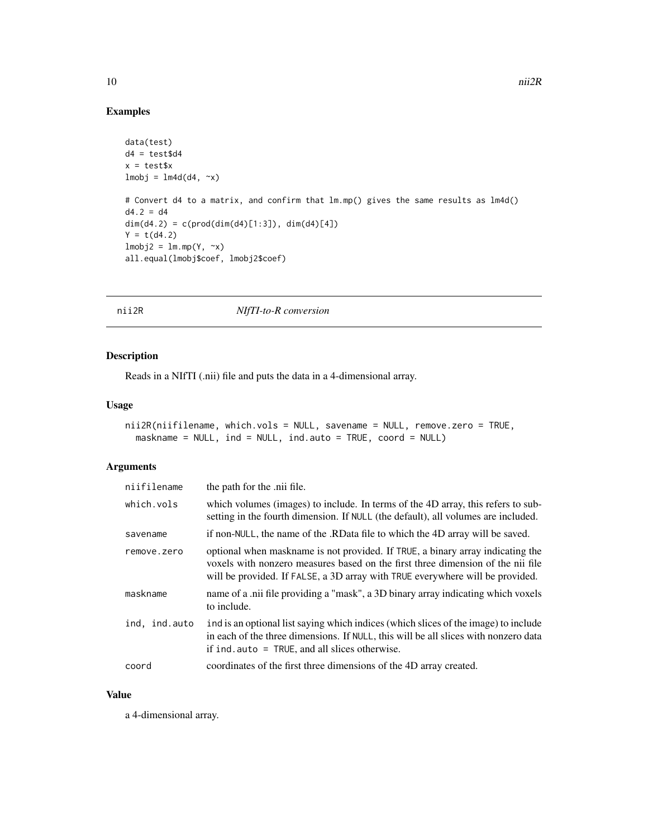## Examples

```
data(test)
d4 = test$d4
x = \text{test}\lmobj = lm4d(d4, \sim x)# Convert d4 to a matrix, and confirm that lm.mp() gives the same results as lm4d()
d4.2 = d4dim(d4.2) = c(pred(dim(d4)[1:3]), dim(d4)[4])Y = t(d4.2)lmobj2 = lm.mp(Y, \sim x)all.equal(lmobj$coef, lmobj2$coef)
```
## <span id="page-9-1"></span>nii2R *NIfTI-to-R conversion*

#### Description

Reads in a NIfTI (.nii) file and puts the data in a 4-dimensional array.

#### Usage

```
nii2R(niifilename, which.vols = NULL, savename = NULL, remove.zero = TRUE,
 maskname = NULL, ind = NULL, ind.auto = TRUE, coord = NULL)
```
## Arguments

| niifilename   | the path for the .nii file.                                                                                                                                                                                                                        |
|---------------|----------------------------------------------------------------------------------------------------------------------------------------------------------------------------------------------------------------------------------------------------|
| which.vols    | which volumes (images) to include. In terms of the 4D array, this refers to sub-<br>setting in the fourth dimension. If NULL (the default), all volumes are included.                                                                              |
| savename      | if non-NULL, the name of the .RData file to which the 4D array will be saved.                                                                                                                                                                      |
| remove.zero   | optional when maskname is not provided. If TRUE, a binary array indicating the<br>voxels with nonzero measures based on the first three dimension of the nii file<br>will be provided. If FALSE, a 3D array with TRUE everywhere will be provided. |
| maskname      | name of a nii file providing a "mask", a 3D binary array indicating which voxels<br>to include.                                                                                                                                                    |
| ind, ind.auto | ind is an optional list saying which indices (which slices of the image) to include<br>in each of the three dimensions. If NULL, this will be all slices with nonzero data<br>if ind. auto $=$ TRUE, and all slices otherwise.                     |
| coord         | coordinates of the first three dimensions of the 4D array created.                                                                                                                                                                                 |

## Value

a 4-dimensional array.

<span id="page-9-0"></span>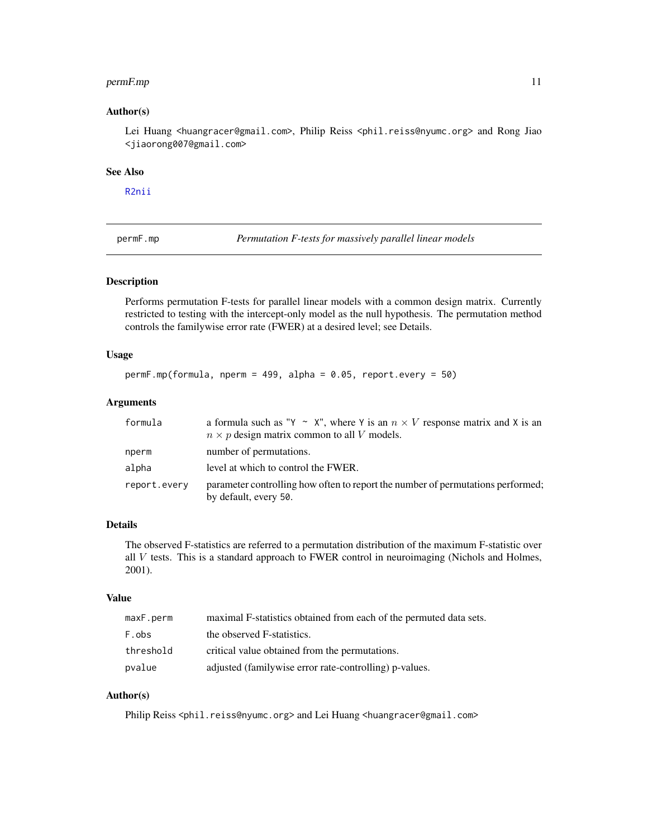#### <span id="page-10-0"></span>permF.mp 11

#### Author(s)

Lei Huang <huangracer@gmail.com>, Philip Reiss <phil.reiss@nyumc.org> and Rong Jiao <jiaorong007@gmail.com>

#### See Also

[R2nii](#page-16-1)

<span id="page-10-1"></span>permF.mp *Permutation F-tests for massively parallel linear models*

#### Description

Performs permutation F-tests for parallel linear models with a common design matrix. Currently restricted to testing with the intercept-only model as the null hypothesis. The permutation method controls the familywise error rate (FWER) at a desired level; see Details.

#### Usage

permF.mp(formula, nperm = 499, alpha =  $0.05$ , report.every = 50)

## Arguments

| formula      | a formula such as "Y ~ X", where Y is an $n \times V$ response matrix and X is an<br>$n \times p$ design matrix common to all V models. |  |
|--------------|-----------------------------------------------------------------------------------------------------------------------------------------|--|
| nperm        | number of permutations.                                                                                                                 |  |
| alpha        | level at which to control the FWER.                                                                                                     |  |
| report.every | parameter controlling how often to report the number of permutations performed;<br>by default, every 50.                                |  |

## Details

The observed F-statistics are referred to a permutation distribution of the maximum F-statistic over all  $V$  tests. This is a standard approach to FWER control in neuroimaging (Nichols and Holmes, 2001).

#### Value

| maxF.perm | maximal F-statistics obtained from each of the permuted data sets. |
|-----------|--------------------------------------------------------------------|
| F.obs     | the observed F-statistics.                                         |
| threshold | critical value obtained from the permutations.                     |
| pvalue    | adjusted (familywise error rate-controlling) p-values.             |

## Author(s)

Philip Reiss <phil.reiss@nyumc.org> and Lei Huang <huangracer@gmail.com>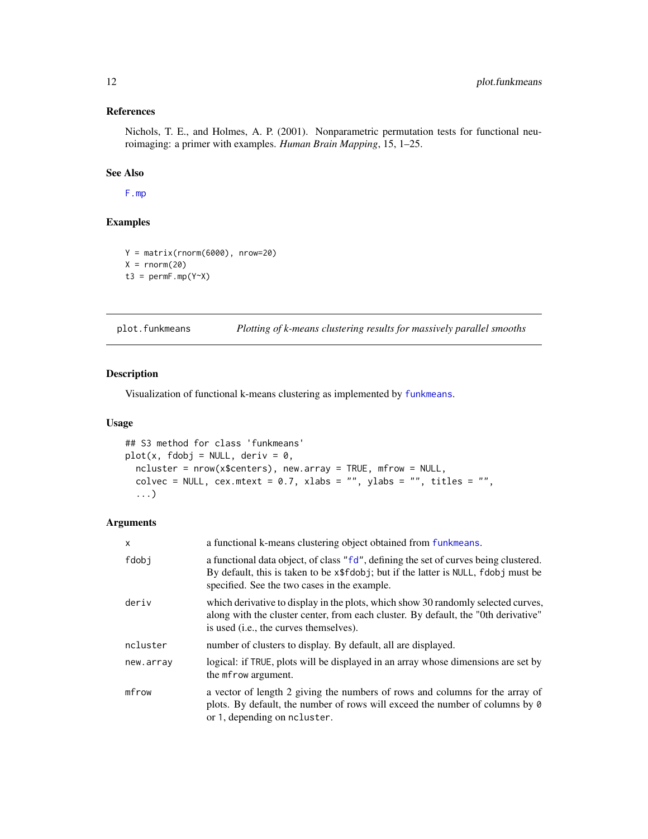## <span id="page-11-0"></span>References

Nichols, T. E., and Holmes, A. P. (2001). Nonparametric permutation tests for functional neuroimaging: a primer with examples. *Human Brain Mapping*, 15, 1–25.

#### See Also

[F.mp](#page-3-1)

## Examples

```
Y = matrix(rnorm(6000), nrow=20)
X = rnorm(20)t3 = permF.mp(Y<sup>2</sup>X)
```
plot.funkmeans *Plotting of k-means clustering results for massively parallel smooths*

## Description

Visualization of functional k-means clustering as implemented by [funkmeans](#page-5-1).

#### Usage

```
## S3 method for class 'funkmeans'
plot(x, fdobj = NULL, deriv = 0,ncluster = nrow(x$centers), new.array = TRUE, mfrow = NULL,
 colvec = NULL, cex.mtext = 0.7, xlabs = "", ylabs = "", titles = "",
  ...)
```
#### Arguments

| $\mathsf{x}$ | a functional k-means clustering object obtained from funkmeans.                                                                                                                                                            |
|--------------|----------------------------------------------------------------------------------------------------------------------------------------------------------------------------------------------------------------------------|
| fdobi        | a functional data object, of class "fd", defining the set of curves being clustered.<br>By default, this is taken to be x\$fdobj; but if the latter is NULL, fdobj must be<br>specified. See the two cases in the example. |
| deriv        | which derivative to display in the plots, which show 30 randomly selected curves,<br>along with the cluster center, from each cluster. By default, the "0th derivative"<br>is used (i.e., the curves themselves).          |
| ncluster     | number of clusters to display. By default, all are displayed.                                                                                                                                                              |
| new.array    | logical: if TRUE, plots will be displayed in an array whose dimensions are set by<br>the mfrow argument.                                                                                                                   |
| mfrow        | a vector of length 2 giving the numbers of rows and columns for the array of<br>plots. By default, the number of rows will exceed the number of columns by 0<br>or 1, depending on ncluster.                               |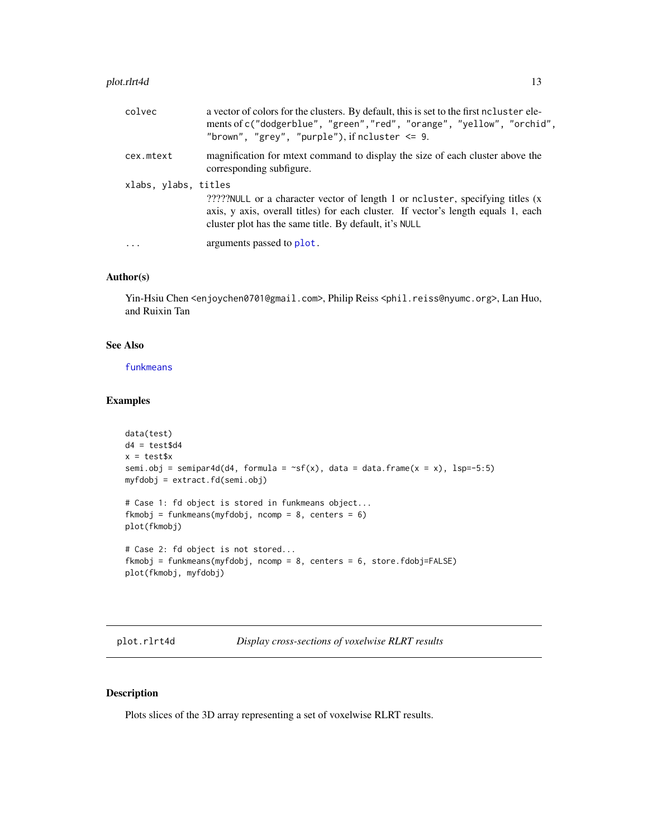#### <span id="page-12-0"></span>plot.rlrt4d 13

| colvec                             | a vector of colors for the clusters. By default, this is set to the first no eluster ele-<br>ments of c("dodgerblue", "green", "red", "orange", "yellow", "orchid",<br>"brown", "grey", "purple"), if ncluster $\leq$ 9.                                   |
|------------------------------------|------------------------------------------------------------------------------------------------------------------------------------------------------------------------------------------------------------------------------------------------------------|
| cex.mtext                          | magnification for meet command to display the size of each cluster above the<br>corresponding subfigure.                                                                                                                                                   |
| xlabs, ylabs, titles<br>$\ddots$ . | ??????NULL or a character vector of length 1 or no uster, specifying titles (x<br>axis, y axis, overall titles) for each cluster. If vector's length equals 1, each<br>cluster plot has the same title. By default, it's NULL<br>arguments passed to plot. |
|                                    |                                                                                                                                                                                                                                                            |

## Author(s)

Yin-Hsiu Chen <enjoychen0701@gmail.com>, Philip Reiss <phil.reiss@nyumc.org>, Lan Huo, and Ruixin Tan

## See Also

[funkmeans](#page-5-1)

## Examples

```
data(test)
d4 = \text{test}\x = test$x
semi.obj = semipar4d(d4, formula = \simsf(x), data = data.frame(x = x), lsp=-5:5)
myfdobj = extract.fd(semi.obj)
# Case 1: fd object is stored in funkmeans object...
fkmobj = funkmeans(myfdobj, ncomp = 8, centers = 6)
plot(fkmobj)
# Case 2: fd object is not stored...
fkmobj = funkmeans(myfdobj, ncomp = 8, centers = 6, store.fdobj=FALSE)
plot(fkmobj, myfdobj)
```
<span id="page-12-1"></span>plot.rlrt4d *Display cross-sections of voxelwise RLRT results*

## Description

Plots slices of the 3D array representing a set of voxelwise RLRT results.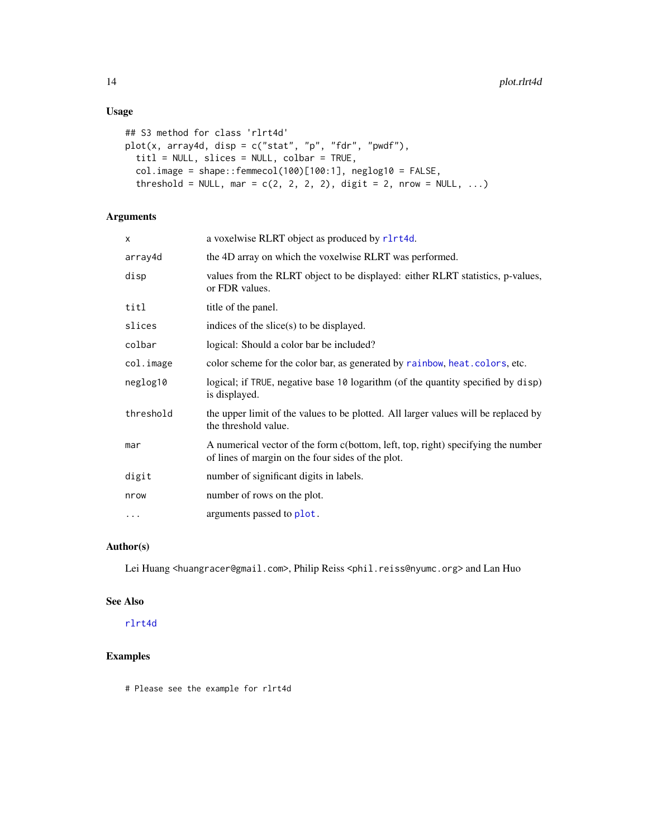## Usage

```
## S3 method for class 'rlrt4d'
plot(x, array4d, disp = c("stat", "p", "fdr", "pwdf"),titl = NULL, slices = NULL, colbar = TRUE,
  col.inage = shape::femmecol(100)[100:1], neglog10 = FALSE,threshold = NULL, mar = c(2, 2, 2, 2), digit = 2, nrow = NULL, ...)
```
## Arguments

| X         | a voxelwise RLRT object as produced by r1rt4d.                                                                                        |  |
|-----------|---------------------------------------------------------------------------------------------------------------------------------------|--|
| array4d   | the 4D array on which the voxelwise RLRT was performed.                                                                               |  |
| disp      | values from the RLRT object to be displayed: either RLRT statistics, p-values,<br>or FDR values.                                      |  |
| titl      | title of the panel.                                                                                                                   |  |
| slices    | indices of the slice(s) to be displayed.                                                                                              |  |
| colbar    | logical: Should a color bar be included?                                                                                              |  |
| col.image | color scheme for the color bar, as generated by rainbow, heat.colors, etc.                                                            |  |
| neglog10  | logical; if TRUE, negative base 10 logarithm (of the quantity specified by disp)<br>is displayed.                                     |  |
| threshold | the upper limit of the values to be plotted. All larger values will be replaced by<br>the threshold value.                            |  |
| mar       | A numerical vector of the form c(bottom, left, top, right) specifying the number<br>of lines of margin on the four sides of the plot. |  |
| digit     | number of significant digits in labels.                                                                                               |  |
| nrow      | number of rows on the plot.                                                                                                           |  |
| $\cdots$  | arguments passed to plot.                                                                                                             |  |
|           |                                                                                                                                       |  |

## Author(s)

Lei Huang <huangracer@gmail.com>, Philip Reiss <phil.reiss@nyumc.org> and Lan Huo

## See Also

[rlrt4d](#page-20-1)

## Examples

# Please see the example for rlrt4d

<span id="page-13-0"></span>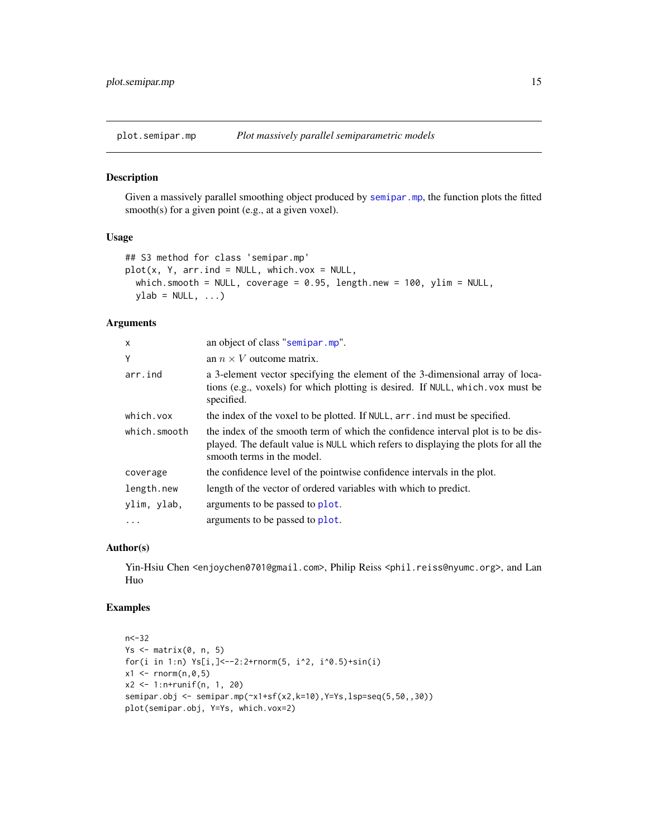<span id="page-14-0"></span>

Given a massively parallel smoothing object produced by [semipar.mp](#page-23-1), the function plots the fitted smooth(s) for a given point (e.g., at a given voxel).

#### Usage

```
## S3 method for class 'semipar.mp'
plot(x, Y, arr.ind = NULL, which.vox = NULL,which.smooth = NULL, coverage = 0.95, length.new = 100, ylim = NULL,
 ylab = NULL, ...)
```
## Arguments

| X            | an object of class "semipar.mp".                                                                                                                                                                     |  |
|--------------|------------------------------------------------------------------------------------------------------------------------------------------------------------------------------------------------------|--|
| Y            | an $n \times V$ outcome matrix.                                                                                                                                                                      |  |
| arr.ind      | a 3-element vector specifying the element of the 3-dimensional array of loca-<br>tions (e.g., voxels) for which plotting is desired. If NULL, which vox must be<br>specified.                        |  |
| which.vox    | the index of the voxel to be plotted. If NULL, arr. ind must be specified.                                                                                                                           |  |
| which.smooth | the index of the smooth term of which the confidence interval plot is to be dis-<br>played. The default value is NULL which refers to displaying the plots for all the<br>smooth terms in the model. |  |
| coverage     | the confidence level of the pointwise confidence intervals in the plot.                                                                                                                              |  |
| length.new   | length of the vector of ordered variables with which to predict.                                                                                                                                     |  |
| ylim, ylab,  | arguments to be passed to plot.                                                                                                                                                                      |  |
| $\cdots$     | arguments to be passed to plot.                                                                                                                                                                      |  |

## Author(s)

Yin-Hsiu Chen <enjoychen0701@gmail.com>, Philip Reiss <phil.reiss@nyumc.org>, and Lan Huo

## Examples

```
n < -32Ys \le matrix(0, n, 5)
for(i in 1:n) Ys[i,]<--2:2+rnorm(5, i^2, i^0.5)+sin(i)
x1 \leftarrow \text{rnorm}(n, \emptyset, 5)x2 <- 1:n+runif(n, 1, 20)
semipar.obj <- semipar.mp(~x1+sf(x2,k=10),Y=Ys,lsp=seq(5,50,,30))
plot(semipar.obj, Y=Ys, which.vox=2)
```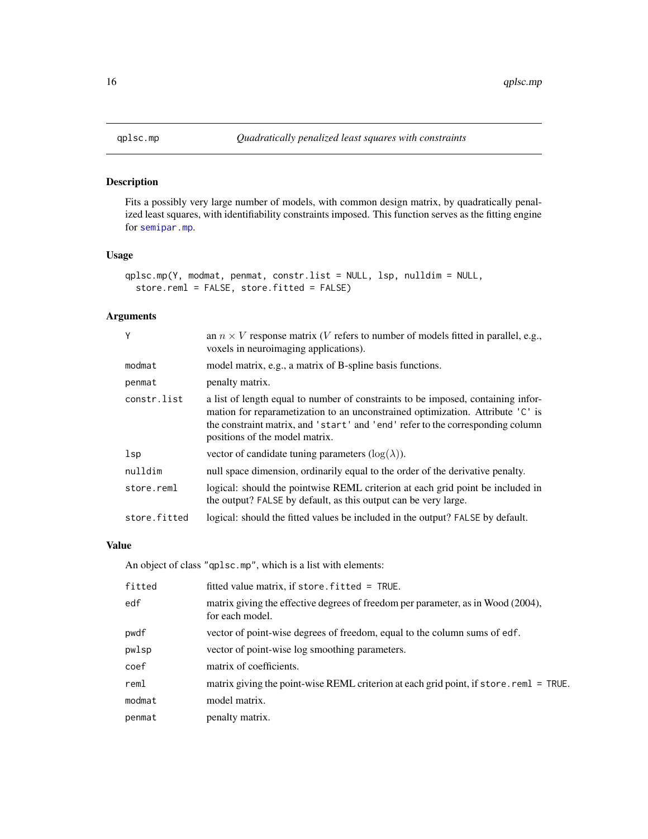<span id="page-15-1"></span><span id="page-15-0"></span>

Fits a possibly very large number of models, with common design matrix, by quadratically penalized least squares, with identifiability constraints imposed. This function serves as the fitting engine for [semipar.mp](#page-23-1).

## Usage

```
qplsc.mp(Y, modmat, penmat, constr.list = NULL, lsp, nulldim = NULL,
  store.reml = FALSE, store.fitted = FALSE)
```
## Arguments

| Y            | an $n \times V$ response matrix (V refers to number of models fitted in parallel, e.g.,<br>voxels in neuroimaging applications).                                                                                                                                                       |  |
|--------------|----------------------------------------------------------------------------------------------------------------------------------------------------------------------------------------------------------------------------------------------------------------------------------------|--|
| modmat       | model matrix, e.g., a matrix of B-spline basis functions.                                                                                                                                                                                                                              |  |
| penmat       | penalty matrix.                                                                                                                                                                                                                                                                        |  |
| constr.list  | a list of length equal to number of constraints to be imposed, containing infor-<br>mation for reparametization to an unconstrained optimization. Attribute 'C' is<br>the constraint matrix, and 'start' and 'end' refer to the corresponding column<br>positions of the model matrix. |  |
| lsp          | vector of candidate tuning parameters $(\log(\lambda))$ .                                                                                                                                                                                                                              |  |
| nulldim      | null space dimension, ordinarily equal to the order of the derivative penalty.                                                                                                                                                                                                         |  |
| store.reml   | logical: should the pointwise REML criterion at each grid point be included in<br>the output? FALSE by default, as this output can be very large.                                                                                                                                      |  |
| store.fitted | logical: should the fitted values be included in the output? FALSE by default.                                                                                                                                                                                                         |  |

#### Value

An object of class "qplsc.mp", which is a list with elements:

| fitted           | fitted value matrix, if store, $fitted = TRUE$ .                                                    |  |
|------------------|-----------------------------------------------------------------------------------------------------|--|
| edf              | matrix giving the effective degrees of freedom per parameter, as in Wood (2004),<br>for each model. |  |
| pwdf             | vector of point-wise degrees of freedom, equal to the column sums of edf.                           |  |
| pwlsp            | vector of point-wise log smoothing parameters.                                                      |  |
| coef             | matrix of coefficients.                                                                             |  |
| rem <sub>l</sub> | matrix giving the point-wise REML criterion at each grid point, if store reml = TRUE.               |  |
| modmat           | model matrix.                                                                                       |  |
| penmat           | penalty matrix.                                                                                     |  |
|                  |                                                                                                     |  |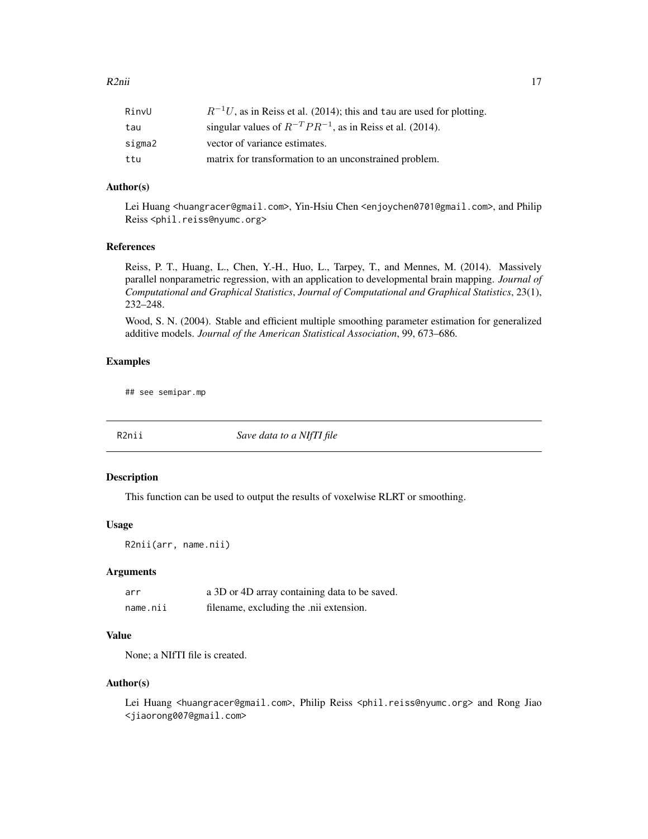#### <span id="page-16-0"></span>R2nii 17

| RinvU  | $R^{-1}U$ , as in Reiss et al. (2014); this and tau are used for plotting. |
|--------|----------------------------------------------------------------------------|
| tau    | singular values of $R^{-T}PR^{-1}$ , as in Reiss et al. (2014).            |
| sigma2 | vector of variance estimates.                                              |
| ttu    | matrix for transformation to an unconstrained problem.                     |

## Author(s)

Lei Huang <huangracer@gmail.com>, Yin-Hsiu Chen <enjoychen0701@gmail.com>, and Philip Reiss <phil.reiss@nyumc.org>

## References

Reiss, P. T., Huang, L., Chen, Y.-H., Huo, L., Tarpey, T., and Mennes, M. (2014). Massively parallel nonparametric regression, with an application to developmental brain mapping. *Journal of Computational and Graphical Statistics*, *Journal of Computational and Graphical Statistics*, 23(1), 232–248.

Wood, S. N. (2004). Stable and efficient multiple smoothing parameter estimation for generalized additive models. *Journal of the American Statistical Association*, 99, 673–686.

## Examples

## see semipar.mp

<span id="page-16-1"></span>

R2nii *Save data to a NIfTI file*

## Description

This function can be used to output the results of voxelwise RLRT or smoothing.

#### Usage

R2nii(arr, name.nii)

## Arguments

| arr      | a 3D or 4D array containing data to be saved. |
|----------|-----------------------------------------------|
| name.nii | filename, excluding the .nii extension.       |

## Value

None; a NIfTI file is created.

## Author(s)

Lei Huang <huangracer@gmail.com>, Philip Reiss <phil.reiss@nyumc.org> and Rong Jiao <jiaorong007@gmail.com>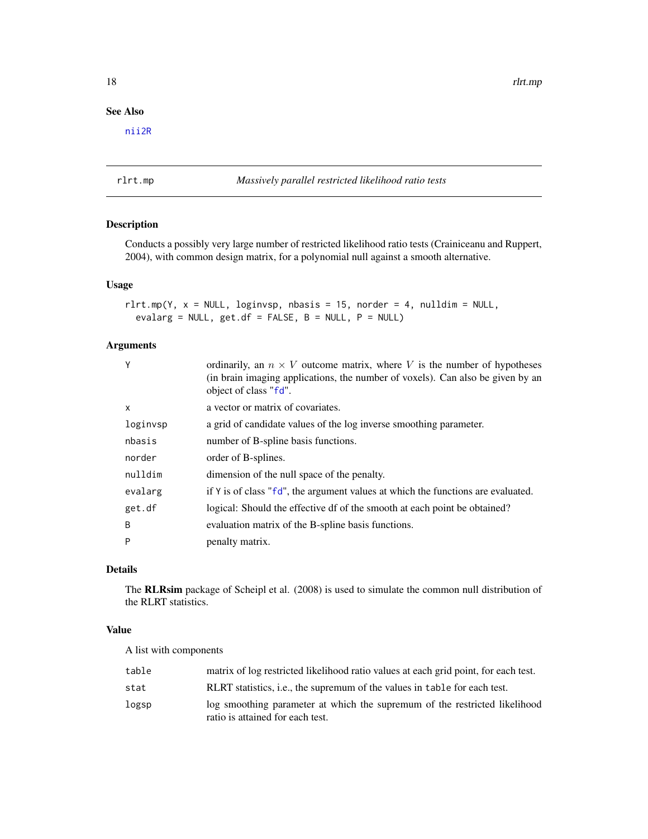## See Also

[nii2R](#page-9-1)

## <span id="page-17-1"></span>rlrt.mp *Massively parallel restricted likelihood ratio tests*

## Description

Conducts a possibly very large number of restricted likelihood ratio tests (Crainiceanu and Ruppert, 2004), with common design matrix, for a polynomial null against a smooth alternative.

## Usage

```
rlrt.mp(Y, x = NULL, loginvsp, nbasis = 15, norder = 4, nulldim = NULL,evalarg = NULL, get.df = FALSE, B = NULL, P = NULL)
```
## Arguments

| Y        | ordinarily, an $n \times V$ outcome matrix, where V is the number of hypotheses<br>(in brain imaging applications, the number of voxels). Can also be given by an<br>object of class "fd". |
|----------|--------------------------------------------------------------------------------------------------------------------------------------------------------------------------------------------|
| X        | a vector or matrix of covariates.                                                                                                                                                          |
| loginvsp | a grid of candidate values of the log inverse smoothing parameter.                                                                                                                         |
| nbasis   | number of B-spline basis functions.                                                                                                                                                        |
| norder   | order of B-splines.                                                                                                                                                                        |
| nulldim  | dimension of the null space of the penalty.                                                                                                                                                |
| evalarg  | if Y is of class "fd", the argument values at which the functions are evaluated.                                                                                                           |
| get.df   | logical: Should the effective df of the smooth at each point be obtained?                                                                                                                  |
| B        | evaluation matrix of the B-spline basis functions.                                                                                                                                         |
| P        | penalty matrix.                                                                                                                                                                            |
|          |                                                                                                                                                                                            |

## Details

The RLRsim package of Scheipl et al. (2008) is used to simulate the common null distribution of the RLRT statistics.

## Value

A list with components

| table | matrix of log restricted likelihood ratio values at each grid point, for each test.                            |
|-------|----------------------------------------------------------------------------------------------------------------|
| stat  | RLRT statistics, i.e., the supremum of the values in table for each test.                                      |
| logsp | log smoothing parameter at which the supremum of the restricted likelihood<br>ratio is attained for each test. |

<span id="page-17-0"></span>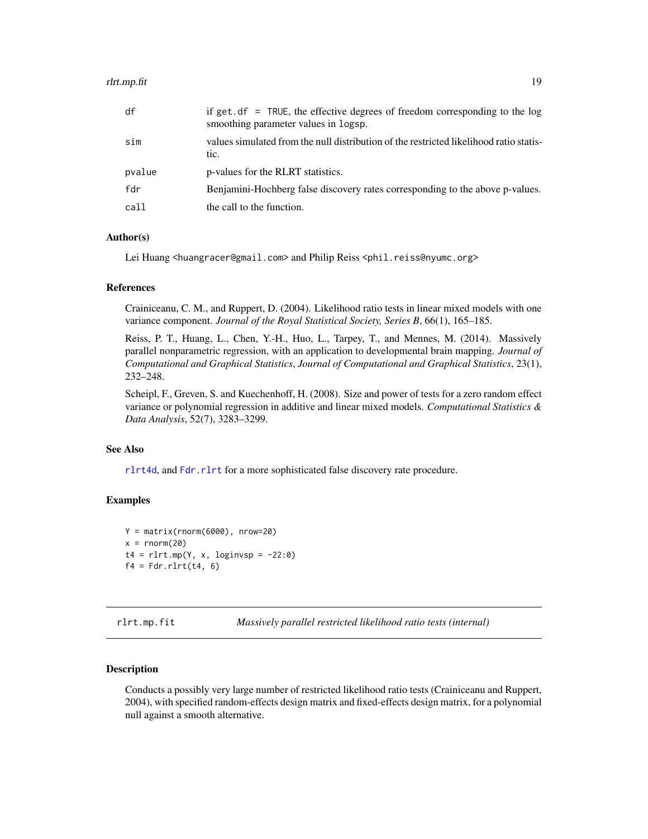#### <span id="page-18-0"></span>rlrt.mp.fit 19

| df     | if get. $df = TRUE$ , the effective degrees of freedom corresponding to the log<br>smoothing parameter values in logsp. |
|--------|-------------------------------------------------------------------------------------------------------------------------|
| sim    | values simulated from the null distribution of the restricted likelihood ratio statis-<br>tic.                          |
| pvalue | p-values for the RLRT statistics.                                                                                       |
| fdr    | Benjamini-Hochberg false discovery rates corresponding to the above p-values.                                           |
| cal1   | the call to the function.                                                                                               |

## Author(s)

Lei Huang <huangracer@gmail.com> and Philip Reiss <phil.reiss@nyumc.org>

#### References

Crainiceanu, C. M., and Ruppert, D. (2004). Likelihood ratio tests in linear mixed models with one variance component. *Journal of the Royal Statistical Society, Series B*, 66(1), 165–185.

Reiss, P. T., Huang, L., Chen, Y.-H., Huo, L., Tarpey, T., and Mennes, M. (2014). Massively parallel nonparametric regression, with an application to developmental brain mapping. *Journal of Computational and Graphical Statistics*, *Journal of Computational and Graphical Statistics*, 23(1), 232–248.

Scheipl, F., Greven, S. and Kuechenhoff, H. (2008). Size and power of tests for a zero random effect variance or polynomial regression in additive and linear mixed models. *Computational Statistics & Data Analysis*, 52(7), 3283–3299.

#### See Also

[rlrt4d](#page-20-1), and [Fdr.rlrt](#page-4-1) for a more sophisticated false discovery rate procedure.

#### Examples

```
Y = matrix(rnorm(6000), nrow=20)
x = rnorm(20)t4 = r lrt.mp(Y, x, loginvsp = -22:0)f4 = Fdr.rlrt(t4, 6)
```
rlrt.mp.fit *Massively parallel restricted likelihood ratio tests (internal)*

## Description

Conducts a possibly very large number of restricted likelihood ratio tests (Crainiceanu and Ruppert, 2004), with specified random-effects design matrix and fixed-effects design matrix, for a polynomial null against a smooth alternative.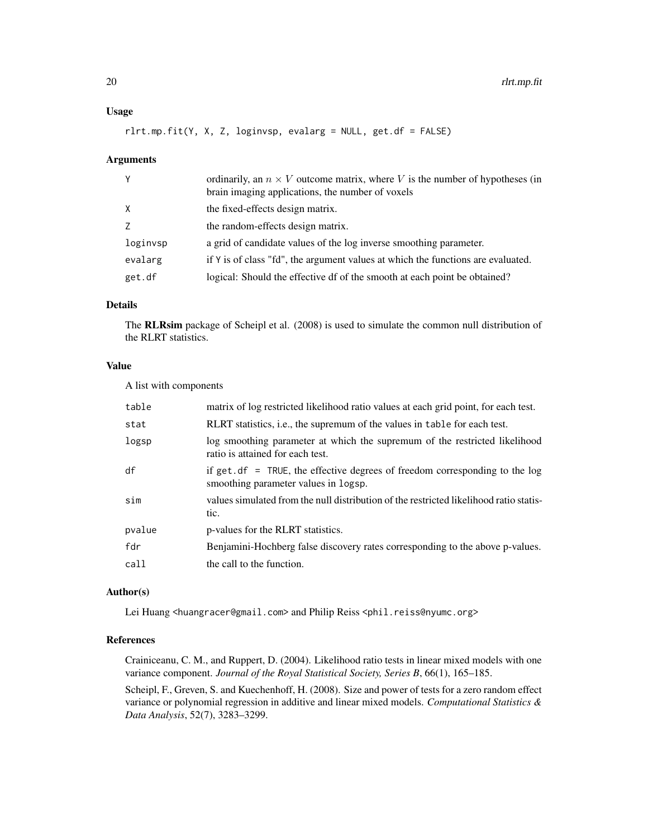## Usage

rlrt.mp.fit(Y, X, Z, loginvsp, evalarg = NULL, get.df = FALSE)

#### Arguments

| Y        | ordinarily, an $n \times V$ outcome matrix, where V is the number of hypotheses (in<br>brain imaging applications, the number of voxels |
|----------|-----------------------------------------------------------------------------------------------------------------------------------------|
| $\times$ | the fixed-effects design matrix.                                                                                                        |
| Z        | the random-effects design matrix.                                                                                                       |
| loginvsp | a grid of candidate values of the log inverse smoothing parameter.                                                                      |
| evalarg  | if Y is of class "fd", the argument values at which the functions are evaluated.                                                        |
| get.df   | logical: Should the effective df of the smooth at each point be obtained?                                                               |

## Details

The RLRsim package of Scheipl et al. (2008) is used to simulate the common null distribution of the RLRT statistics.

## Value

A list with components

| table  | matrix of log restricted likelihood ratio values at each grid point, for each test.                                     |
|--------|-------------------------------------------------------------------------------------------------------------------------|
| stat   | RLRT statistics, i.e., the supremum of the values in table for each test.                                               |
| logsp  | log smoothing parameter at which the supremum of the restricted likelihood<br>ratio is attained for each test.          |
| df     | if get. $df = TRUE$ , the effective degrees of freedom corresponding to the log<br>smoothing parameter values in logsp. |
| sim    | values simulated from the null distribution of the restricted likelihood ratio statis-<br>tic.                          |
| pvalue | p-values for the RLRT statistics.                                                                                       |
| fdr    | Benjamini-Hochberg false discovery rates corresponding to the above p-values.                                           |
| call   | the call to the function.                                                                                               |

#### Author(s)

Lei Huang <huangracer@gmail.com> and Philip Reiss <phil.reiss@nyumc.org>

#### References

Crainiceanu, C. M., and Ruppert, D. (2004). Likelihood ratio tests in linear mixed models with one variance component. *Journal of the Royal Statistical Society, Series B*, 66(1), 165–185.

Scheipl, F., Greven, S. and Kuechenhoff, H. (2008). Size and power of tests for a zero random effect variance or polynomial regression in additive and linear mixed models. *Computational Statistics & Data Analysis*, 52(7), 3283–3299.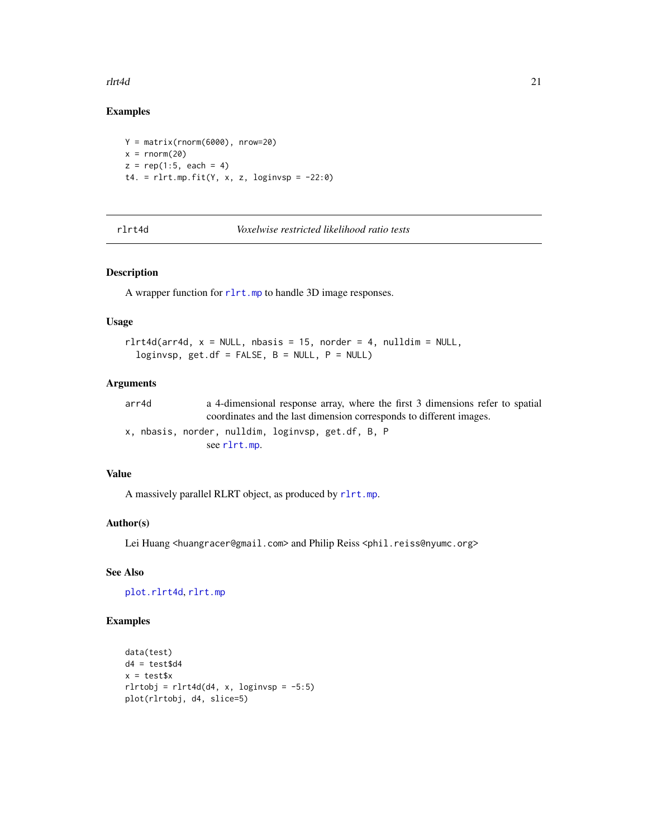#### <span id="page-20-0"></span>rlrt4d 21

## Examples

Y = matrix(rnorm(6000), nrow=20)  $x = rnorm(20)$  $z = rep(1:5, each = 4)$ t4. =  $rlr.mp.fit(Y, x, z, loginvsp = -22:0)$ 

<span id="page-20-1"></span>

| ×<br>٠ |
|--------|
|--------|

*Voxelwise restricted likelihood ratio tests* 

## Description

A wrapper function for [rlrt.mp](#page-17-1) to handle 3D image responses.

## Usage

```
rlrt4d(arr4d, x = NULL, nbasis = 15, norder = 4, nulldim = NULL,loginvsp, get.df = FALSE, B = NULL, P = NULL)
```
## Arguments

| arr4d | a 4-dimensional response array, where the first 3 dimensions refer to spatial |
|-------|-------------------------------------------------------------------------------|
|       | coordinates and the last dimension corresponds to different images.           |
|       | x, nbasis, norder, nulldim, loginvsp, get.df, B, P                            |
|       | see rlrt.mp.                                                                  |

#### Value

A massively parallel RLRT object, as produced by [rlrt.mp](#page-17-1).

## Author(s)

Lei Huang <huangracer@gmail.com> and Philip Reiss <phil.reiss@nyumc.org>

## See Also

[plot.rlrt4d](#page-12-1), [rlrt.mp](#page-17-1)

#### Examples

```
data(test)
d4 = \text{test}$d4
x = test$x
rlr \tobj = r lrt4d(d4, x, loginvsp = -5:5)plot(rlrtobj, d4, slice=5)
```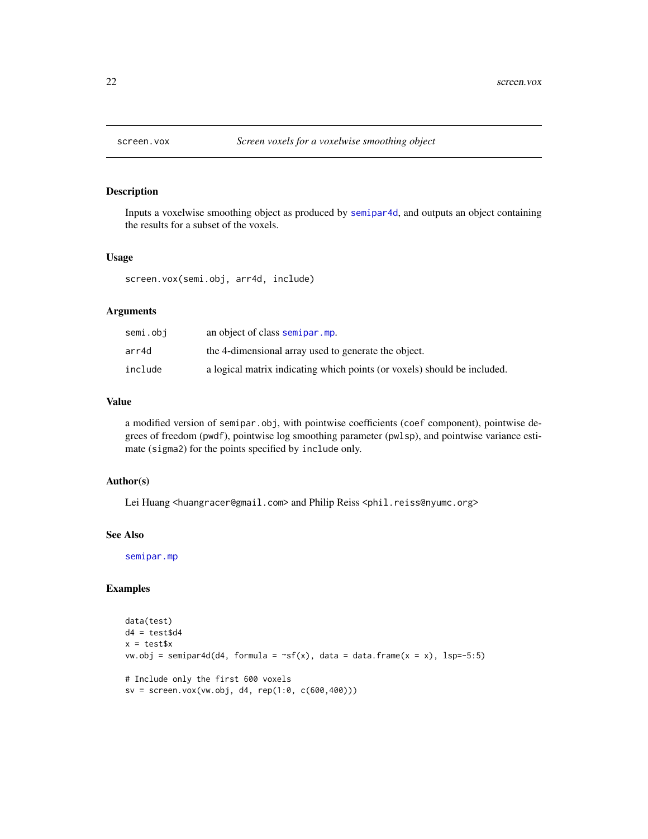<span id="page-21-0"></span>

Inputs a voxelwise smoothing object as produced by [semipar4d](#page-25-1), and outputs an object containing the results for a subset of the voxels.

## Usage

screen.vox(semi.obj, arr4d, include)

## Arguments

| semi.obi | an object of class semipar.mp.                                           |
|----------|--------------------------------------------------------------------------|
| arr4d    | the 4-dimensional array used to generate the object.                     |
| include  | a logical matrix indicating which points (or voxels) should be included. |

## Value

a modified version of semipar.obj, with pointwise coefficients (coef component), pointwise degrees of freedom (pwdf), pointwise log smoothing parameter (pwlsp), and pointwise variance estimate (sigma2) for the points specified by include only.

#### Author(s)

Lei Huang <huangracer@gmail.com> and Philip Reiss <phil.reiss@nyumc.org>

#### See Also

[semipar.mp](#page-23-1)

## Examples

```
data(test)
d4 = \text{test}\x = \text{test}sxvw.obj = semipar4d(d4, formula = \simsf(x), data = data.frame(x = x), lsp=-5:5)
# Include only the first 600 voxels
sv = screen.vox(vw.obj, d4, rep(1:0, c(600,400)))
```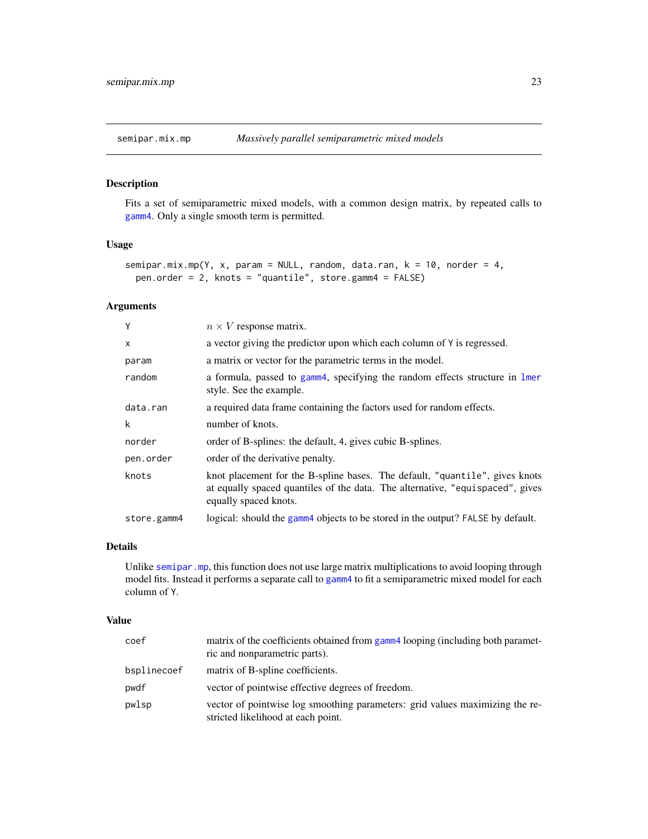<span id="page-22-1"></span><span id="page-22-0"></span>

Fits a set of semiparametric mixed models, with a common design matrix, by repeated calls to [gamm4](#page-0-0). Only a single smooth term is permitted.

## Usage

```
semipar.mix.mp(Y, x, param = NULL, random, data.ran, k = 10, norder = 4,
 pen.order = 2, knots = "quantile", store.gamm4 = FALSE)
```
#### Arguments

| Y           | $n \times V$ response matrix.                                                                                                                                                         |
|-------------|---------------------------------------------------------------------------------------------------------------------------------------------------------------------------------------|
| X           | a vector giving the predictor upon which each column of Y is regressed.                                                                                                               |
| param       | a matrix or vector for the parametric terms in the model.                                                                                                                             |
| random      | a formula, passed to gamm4, specifying the random effects structure in lmer<br>style. See the example.                                                                                |
| data.ran    | a required data frame containing the factors used for random effects.                                                                                                                 |
| k           | number of knots.                                                                                                                                                                      |
| norder      | order of B-splines: the default, 4, gives cubic B-splines.                                                                                                                            |
| pen.order   | order of the derivative penalty.                                                                                                                                                      |
| knots       | knot placement for the B-spline bases. The default, "quantile", gives knots<br>at equally spaced quantiles of the data. The alternative, "equispaced", gives<br>equally spaced knots. |
| store.gamm4 | logical: should the gamm4 objects to be stored in the output? FALSE by default.                                                                                                       |

#### Details

Unlike [semipar.mp](#page-23-1), this function does not use large matrix multiplications to avoid looping through model fits. Instead it performs a separate call to [gamm4](#page-0-0) to fit a semiparametric mixed model for each column of Y.

#### Value

| coef        | matrix of the coefficients obtained from gamm4 looping (including both paramet-<br>ric and nonparametric parts).   |
|-------------|--------------------------------------------------------------------------------------------------------------------|
| bsplinecoef | matrix of B-spline coefficients.                                                                                   |
| pwdf        | vector of pointwise effective degrees of freedom.                                                                  |
| pwlsp       | vector of pointwise log smoothing parameters: grid values maximizing the re-<br>stricted likelihood at each point. |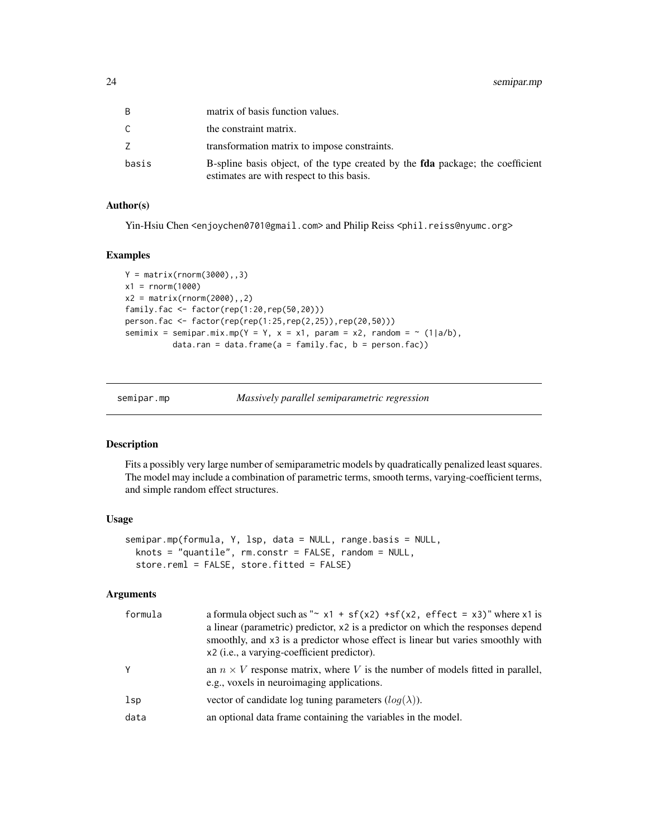<span id="page-23-0"></span>

|       | matrix of basis function values.                                                                                                   |
|-------|------------------------------------------------------------------------------------------------------------------------------------|
|       | the constraint matrix.                                                                                                             |
|       | transformation matrix to impose constraints.                                                                                       |
| basis | B-spline basis object, of the type created by the <b>fda</b> package; the coefficient<br>estimates are with respect to this basis. |

## Author(s)

Yin-Hsiu Chen <enjoychen0701@gmail.com> and Philip Reiss <phil.reiss@nyumc.org>

#### Examples

```
Y = matrix(rnorm(3000),,3)
x1 = rnorm(1000)x2 = matrix(rnorm(2000), 2)family.fac <- factor(rep(1:20,rep(50,20)))
person.fac <- factor(rep(rep(1:25,rep(2,25)),rep(20,50)))
semimix = semipar.mix.mp(Y = Y, x = x1, param = x2, random = ~ (1|a/b),
          data.ran = data.frame(a = family.fac, b = person.fac))
```
semipar.mp *Massively parallel semiparametric regression*

## Description

Fits a possibly very large number of semiparametric models by quadratically penalized least squares. The model may include a combination of parametric terms, smooth terms, varying-coefficient terms, and simple random effect structures.

## Usage

```
semipar.mp(formula, Y, lsp, data = NULL, range.basis = NULL,
 knots = "quantile", rm.constr = FALSE, random = NULL,
  store.reml = FALSE, store.fitted = FALSE)
```
## Arguments

| formula  | a formula object such as " $\approx$ x1 + sf(x2) +sf(x2, effect = x3)" where x1 is<br>a linear (parametric) predictor, x2 is a predictor on which the responses depend<br>smoothly, and x3 is a predictor whose effect is linear but varies smoothly with<br>x2 (i.e., a varying-coefficient predictor). |
|----------|----------------------------------------------------------------------------------------------------------------------------------------------------------------------------------------------------------------------------------------------------------------------------------------------------------|
|          | an $n \times V$ response matrix, where V is the number of models fitted in parallel,<br>e.g., voxels in neuroimaging applications.                                                                                                                                                                       |
| $_{1sp}$ | vector of candidate log tuning parameters $(log(\lambda))$ .                                                                                                                                                                                                                                             |
| data     | an optional data frame containing the variables in the model.                                                                                                                                                                                                                                            |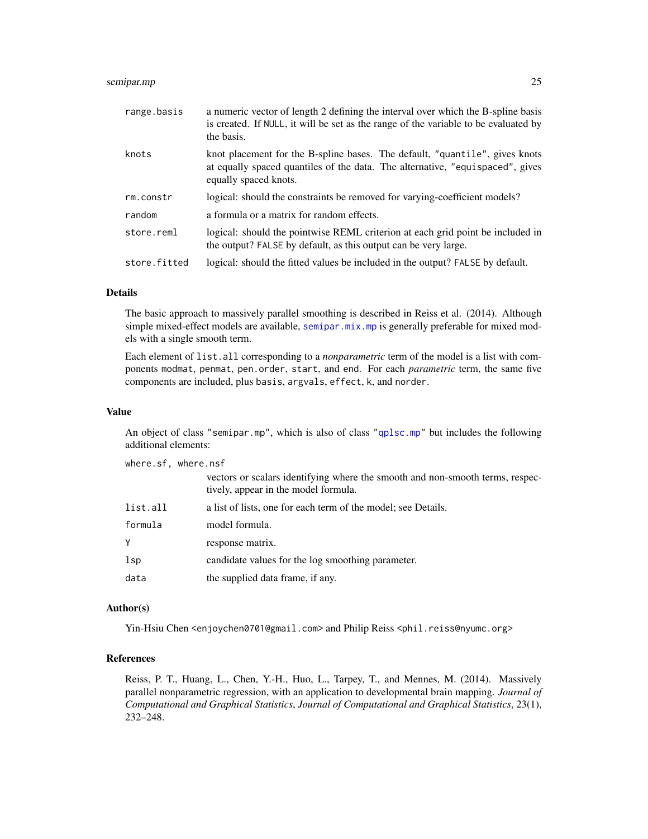## <span id="page-24-0"></span>semipar.mp 25

| range.basis  | a numeric vector of length 2 defining the interval over which the B-spline basis<br>is created. If NULL, it will be set as the range of the variable to be evaluated by<br>the basis. |
|--------------|---------------------------------------------------------------------------------------------------------------------------------------------------------------------------------------|
| knots        | knot placement for the B-spline bases. The default, "quantile", gives knots<br>at equally spaced quantiles of the data. The alternative, "equispaced", gives<br>equally spaced knots. |
| rm.constr    | logical: should the constraints be removed for varying-coefficient models?                                                                                                            |
| random       | a formula or a matrix for random effects.                                                                                                                                             |
| store.reml   | logical: should the pointwise REML criterion at each grid point be included in<br>the output? FALSE by default, as this output can be very large.                                     |
| store.fitted | logical: should the fitted values be included in the output? FALSE by default.                                                                                                        |

#### Details

The basic approach to massively parallel smoothing is described in Reiss et al. (2014). Although simple mixed-effect models are available, [semipar.mix.mp](#page-22-1) is generally preferable for mixed models with a single smooth term.

Each element of list.all corresponding to a *nonparametric* term of the model is a list with components modmat, penmat, pen.order, start, and end. For each *parametric* term, the same five components are included, plus basis, argvals, effect, k, and norder.

## Value

An object of class "semipar.mp", which is also of class ["qplsc.mp"](#page-15-1) but includes the following additional elements:

where.sf, where.nsf

vectors or scalars identifying where the smooth and non-smooth terms, respectively, appear in the model formula. list.all a list of lists, one for each term of the model; see Details. formula model formula. Y response matrix.

lsp candidate values for the log smoothing parameter.

data the supplied data frame, if any.

#### Author(s)

Yin-Hsiu Chen <enjoychen0701@gmail.com> and Philip Reiss <phil.reiss@nyumc.org>

## References

Reiss, P. T., Huang, L., Chen, Y.-H., Huo, L., Tarpey, T., and Mennes, M. (2014). Massively parallel nonparametric regression, with an application to developmental brain mapping. *Journal of Computational and Graphical Statistics*, *Journal of Computational and Graphical Statistics*, 23(1), 232–248.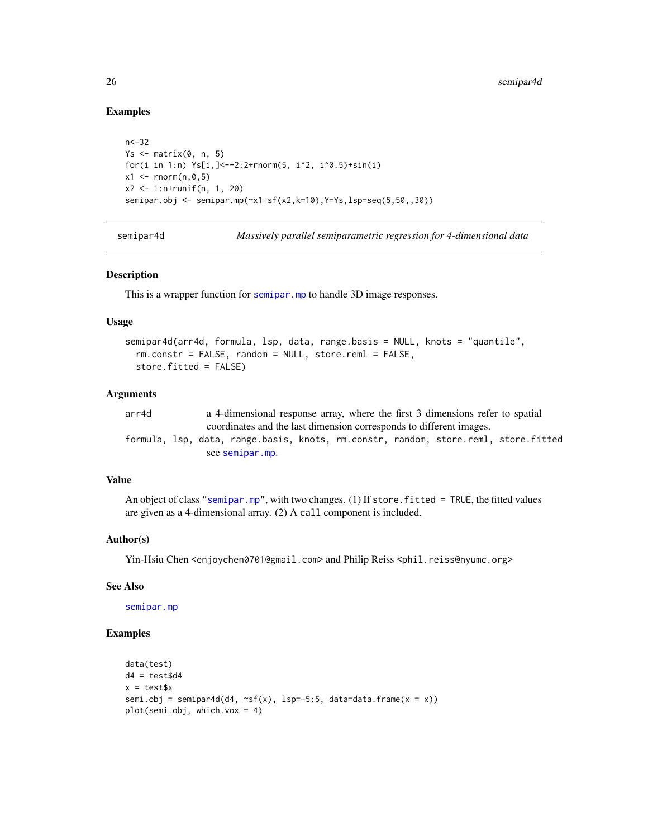#### Examples

```
n<-32
Ys \leq matrix(0, n, 5)
for(i in 1:n) Ys[i,]<--2:2+rnorm(5, i^2, i^0.5)+sin(i)
x1 \le - rnorm(n, 0, 5)x2 <- 1:n+runif(n, 1, 20)
semipar.obj <- semipar.mp(~x1+sf(x2,k=10),Y=Ys,lsp=seq(5,50,,30))
```
<span id="page-25-1"></span>semipar4d *Massively parallel semiparametric regression for 4-dimensional data*

#### Description

This is a wrapper function for [semipar.mp](#page-23-1) to handle 3D image responses.

#### Usage

```
semipar4d(arr4d, formula, lsp, data, range.basis = NULL, knots = "quantile",
  rm.constr = FALSE, random = NULL, store.reml = FALSE,
 store.fitted = FALSE)
```
#### Arguments

| arr4d |  | a 4-dimensional response array, where the first 3 dimensions refer to spatial       |  |  |  |
|-------|--|-------------------------------------------------------------------------------------|--|--|--|
|       |  | coordinates and the last dimension corresponds to different images.                 |  |  |  |
|       |  | formula, lsp, data, range.basis, knots, rm.constr, random, store.reml, store.fitted |  |  |  |
|       |  | see semipar.mp.                                                                     |  |  |  |

#### Value

An object of class ["semipar.mp"](#page-23-1), with two changes. (1) If store. fitted = TRUE, the fitted values are given as a 4-dimensional array. (2) A call component is included.

#### Author(s)

Yin-Hsiu Chen <enjoychen0701@gmail.com> and Philip Reiss <phil.reiss@nyumc.org>

## See Also

[semipar.mp](#page-23-1)

#### Examples

```
data(test)
d4 = test$d4
x = test$x
semi.obj = semipar4d(d4, \simsf(x), lsp=-5:5, data=data.frame(x = x))
plot(semi.obj, which.vox = 4)
```
<span id="page-25-0"></span>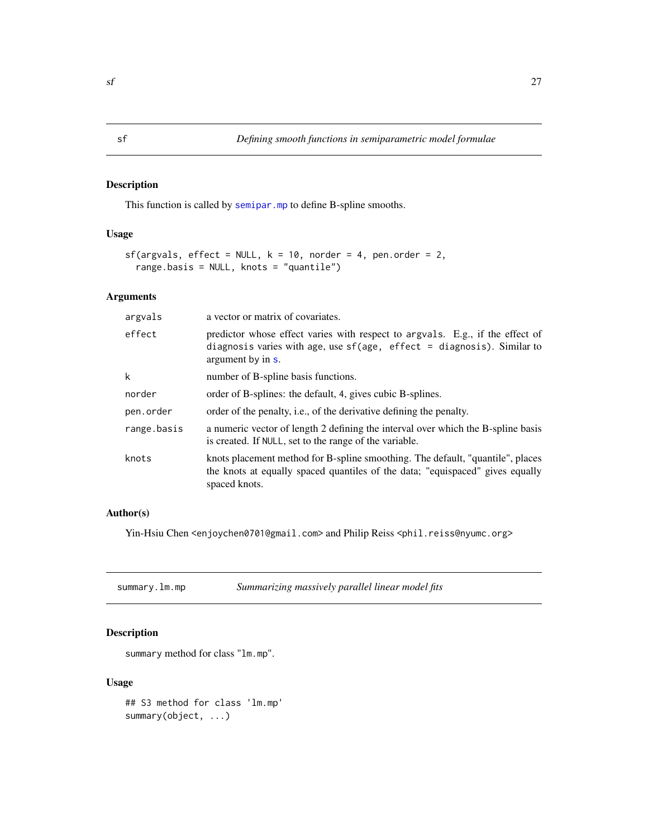<span id="page-26-0"></span>This function is called by [semipar.mp](#page-23-1) to define B-spline smooths.

## Usage

```
sf(args, effect = NULL, k = 10, norder = 4, pen.order = 2,range.basis = NULL, knots = "quantile")
```
## Arguments

| a vector or matrix of covariates.                                                                                                                                                |
|----------------------------------------------------------------------------------------------------------------------------------------------------------------------------------|
| predictor whose effect varies with respect to argvals. E.g., if the effect of<br>diagnosis varies with age, use $sf(age, effect = diagnosis)$ . Similar to<br>argument by in s.  |
| number of B-spline basis functions.                                                                                                                                              |
| order of B-splines: the default, 4, gives cubic B-splines.                                                                                                                       |
| order of the penalty, <i>i.e.</i> , of the derivative defining the penalty.                                                                                                      |
| a numeric vector of length 2 defining the interval over which the B-spline basis<br>is created. If NULL, set to the range of the variable.                                       |
| knots placement method for B-spline smoothing. The default, "quantile", places<br>the knots at equally spaced quantiles of the data; "equispaced" gives equally<br>spaced knots. |
|                                                                                                                                                                                  |

## Author(s)

Yin-Hsiu Chen <enjoychen0701@gmail.com> and Philip Reiss <phil.reiss@nyumc.org>

<span id="page-26-1"></span>summary.lm.mp *Summarizing massively parallel linear model fits*

## Description

summary method for class "lm.mp".

## Usage

```
## S3 method for class 'lm.mp'
summary(object, ...)
```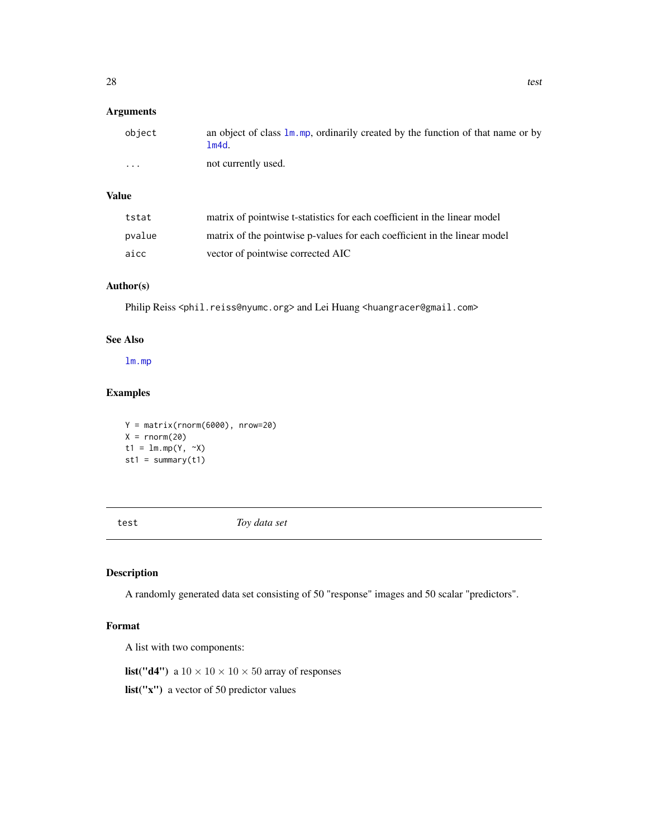## <span id="page-27-0"></span>Arguments

| object   | an object of class $\text{Im} \cdot \text{mp}$ , ordinarily created by the function of that name or by<br>lm4d. |
|----------|-----------------------------------------------------------------------------------------------------------------|
| $\cdots$ | not currently used.                                                                                             |

## Value

| tstat  | matrix of pointwise t-statistics for each coefficient in the linear model |
|--------|---------------------------------------------------------------------------|
| pvalue | matrix of the pointwise p-values for each coefficient in the linear model |
| aicc   | vector of pointwise corrected AIC                                         |

## Author(s)

Philip Reiss <phil.reiss@nyumc.org> and Lei Huang <huangracer@gmail.com>

## See Also

[lm.mp](#page-7-1)

## Examples

Y = matrix(rnorm(6000), nrow=20)  $X = rnorm(20)$ t1 =  $lmmp(Y, \neg X)$  $st1 = summary(t1)$ 

test *Toy data set*

## Description

A randomly generated data set consisting of 50 "response" images and 50 scalar "predictors".

## Format

A list with two components:

list("d4") a  $10 \times 10 \times 10 \times 50$  array of responses

list("x") a vector of 50 predictor values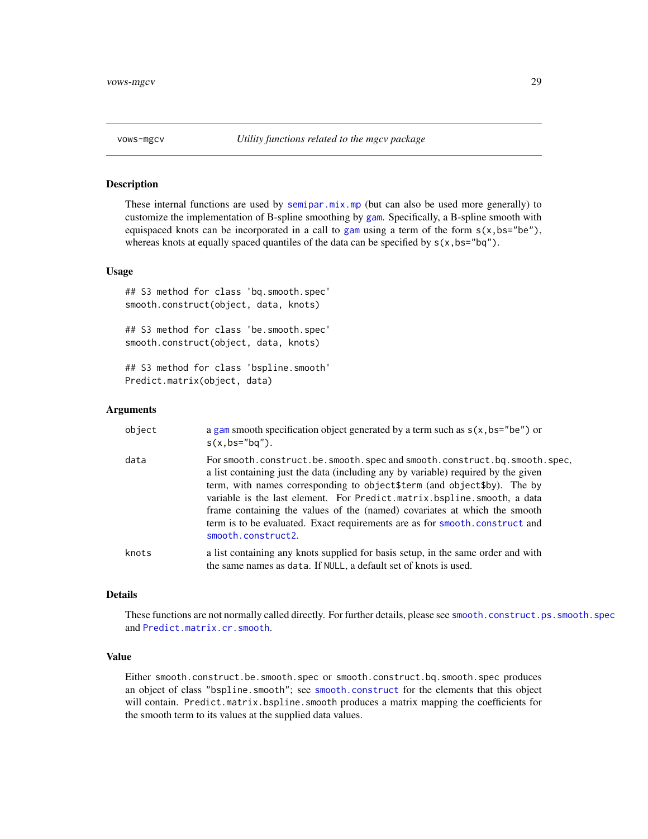<span id="page-28-0"></span>

These internal functions are used by [semipar.mix.mp](#page-22-1) (but can also be used more generally) to customize the implementation of B-spline smoothing by [gam](#page-0-0). Specifically, a B-spline smooth with equispaced knots can be incorporated in a call to [gam](#page-0-0) using a term of the form  $s(x,bs="be")$ , whereas knots at equally spaced quantiles of the data can be specified by  $s(x,bs="bq")$ .

#### Usage

## S3 method for class 'bq.smooth.spec' smooth.construct(object, data, knots)

## S3 method for class 'be.smooth.spec' smooth.construct(object, data, knots)

## S3 method for class 'bspline.smooth' Predict.matrix(object, data)

#### Arguments

| object | a gam smooth specification object generated by a term such as $s(x, bs="be")$ or<br>$s(x, bs="bg").$                                                                                                                                                                                                                                                                                                                                                                                                     |
|--------|----------------------------------------------------------------------------------------------------------------------------------------------------------------------------------------------------------------------------------------------------------------------------------------------------------------------------------------------------------------------------------------------------------------------------------------------------------------------------------------------------------|
| data   | For smooth.construct.be.smooth.spec and smooth.construct.bq.smooth.spec,<br>a list containing just the data (including any by variable) required by the given<br>term, with names corresponding to object \$term (and object \$by). The by<br>variable is the last element. For Predict.matrix.bspline.smooth, a data<br>frame containing the values of the (named) covariates at which the smooth<br>term is to be evaluated. Exact requirements are as for smooth, construct and<br>smooth.construct2. |
| knots  | a list containing any knots supplied for basis setup, in the same order and with<br>the same names as data. If NULL, a default set of knots is used.                                                                                                                                                                                                                                                                                                                                                     |

## Details

These functions are not normally called directly. For further details, please see [smooth.construct.ps.smooth.spec](#page-0-0) and [Predict.matrix.cr.smooth](#page-0-0).

#### Value

Either smooth.construct.be.smooth.spec or smooth.construct.bq.smooth.spec produces an object of class "bspline.smooth"; see [smooth.construct](#page-0-0) for the elements that this object will contain. Predict.matrix.bspline.smooth produces a matrix mapping the coefficients for the smooth term to its values at the supplied data values.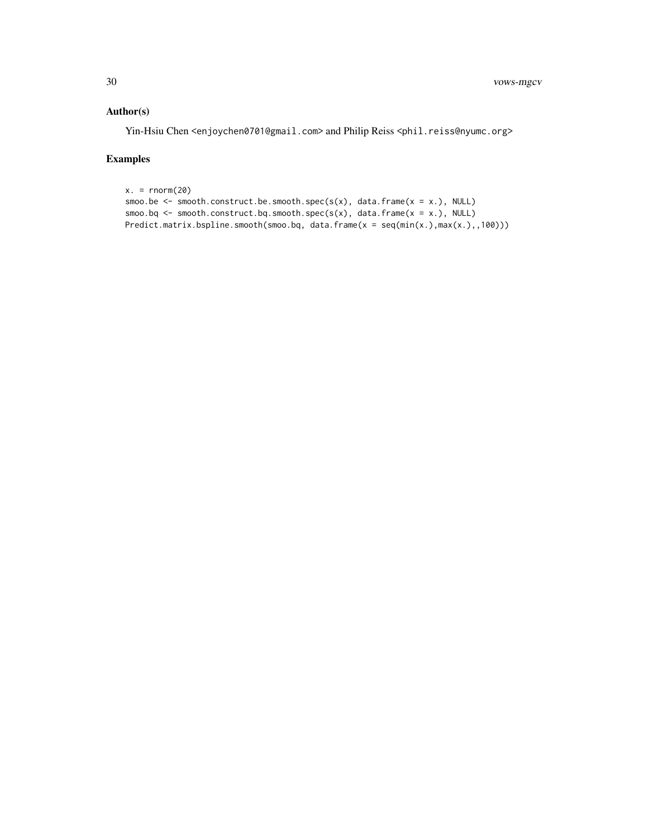## Author(s)

Yin-Hsiu Chen <enjoychen0701@gmail.com> and Philip Reiss <phil.reiss@nyumc.org>

## Examples

```
x = \text{norm}(20)
```

```
smoo.be <- smooth.construct.be.smooth.spec(s(x), data.frame(x = x.), NULL)
smoo.bq <- smooth.construct.bq.smooth.spec(s(x), data.frame(x = x.), NULL)
Predict.matrix.bspline.smooth(smoo.bq, data.frame(x = seq(min(x.),max(x.),,100)))
```